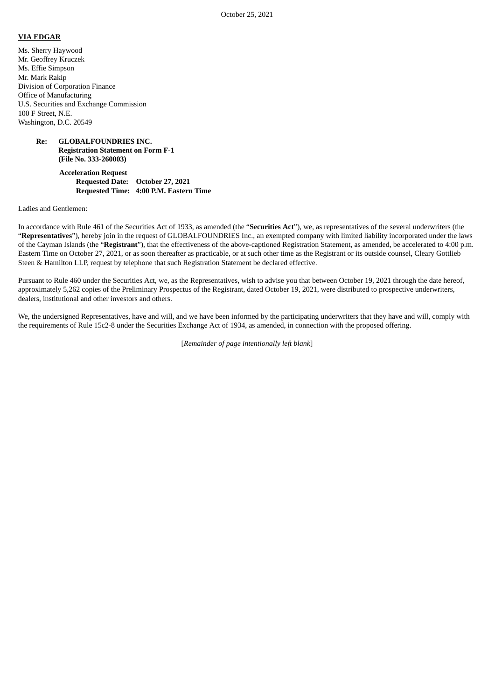#### **VIA EDGAR**

Ms. Sherry Haywood Mr. Geoffrey Kruczek Ms. Effie Simpson Mr. Mark Rakip Division of Corporation Finance Office of Manufacturing U.S. Securities and Exchange Commission 100 F Street, N.E. Washington, D.C. 20549

## **Re: GLOBALFOUNDRIES INC. Registration Statement on Form F-1 (File No. 333-260003)**

## **Acceleration Request Requested Date: October 27, 2021 Requested Time: 4:00 P.M. Eastern Time**

Ladies and Gentlemen:

In accordance with Rule 461 of the Securities Act of 1933, as amended (the "**Securities Act**"), we, as representatives of the several underwriters (the "**Representatives**"), hereby join in the request of GLOBALFOUNDRIES Inc., an exempted company with limited liability incorporated under the laws of the Cayman Islands (the "**Registrant**"), that the effectiveness of the above-captioned Registration Statement, as amended, be accelerated to 4:00 p.m. Eastern Time on October 27, 2021, or as soon thereafter as practicable, or at such other time as the Registrant or its outside counsel, Cleary Gottlieb Steen & Hamilton LLP, request by telephone that such Registration Statement be declared effective.

Pursuant to Rule 460 under the Securities Act, we, as the Representatives, wish to advise you that between October 19, 2021 through the date hereof, approximately 5,262 copies of the Preliminary Prospectus of the Registrant, dated October 19, 2021, were distributed to prospective underwriters, dealers, institutional and other investors and others.

We, the undersigned Representatives, have and will, and we have been informed by the participating underwriters that they have and will, comply with the requirements of Rule 15c2-8 under the Securities Exchange Act of 1934, as amended, in connection with the proposed offering.

[*Remainder of page intentionally left blank*]